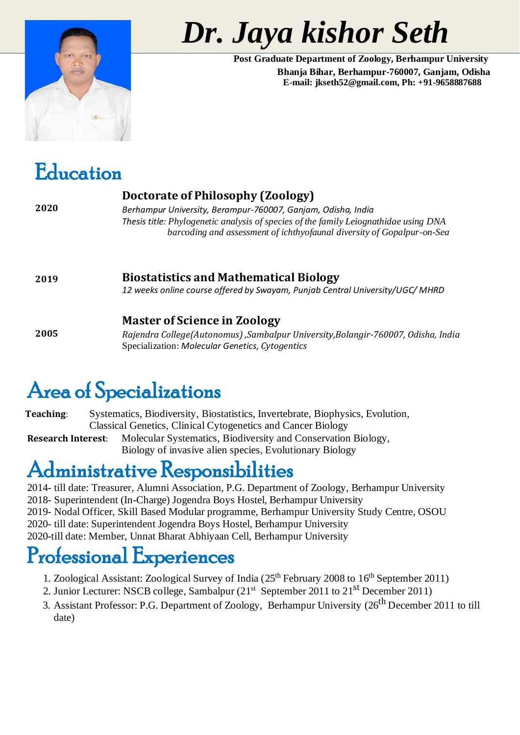

# **No. 3. Iaya kishor Seth**

**Post Graduate Department of Zoology, Berhampur University Bhanja Bihar, Berhampur-760007, Ganjam, Odisha E-mail: jkseth52@gmail.com, Ph: +91-9658887688**

### Education

| 2020 | Doctorate of Philosophy (Zoology)<br>Berhampur University, Berampur-760007, Ganjam, Odisha, India<br>Thesis title: Phylogenetic analysis of species of the family Leiognathidae using DNA<br>barcoding and assessment of ichthyofaunal diversity of Gopalpur-on-Sea |
|------|---------------------------------------------------------------------------------------------------------------------------------------------------------------------------------------------------------------------------------------------------------------------|
| 2019 | <b>Biostatistics and Mathematical Biology</b><br>12 weeks online course offered by Swayam, Punjab Central University/UGC/MHRD                                                                                                                                       |
| 2005 | <b>Master of Science in Zoology</b><br>Rajendra College(Autonomus), Sambalpur University, Bolangir-760007, Odisha, India<br>Specialization: Molecular Genetics, Cytogentics                                                                                         |

## Area of Specializations

**Teaching**: Systematics, Biodiversity, Biostatistics, Invertebrate, Biophysics, Evolution, Classical Genetics, Clinical Cytogenetics and Cancer Biology **Research Interest**: Molecular Systematics, Biodiversity and Conservation Biology, Biology of invasive alien species, Evolutionary Biology

#### Administrative Responsibilities

2014- till date: Treasurer, Alumni Association, P.G. Department of Zoology, Berhampur University 2018- Superintendent (In-Charge) Jogendra Boys Hostel, Berhampur University 2019- Nodal Officer, Skill Based Modular programme, Berhampur University Study Centre, OSOU 2020- till date: Superintendent Jogendra Boys Hostel, Berhampur University 2020-till date: Member, Unnat Bharat Abhiyaan Cell, Berhampur University

#### Professional Experiences

- 1. Zoological Assistant: Zoological Survey of India (25th February 2008 to 16th September 2011)
- 2. Junior Lecturer: NSCB college, Sambalpur (21<sup>st</sup> September 2011 to 21<sup>st</sup> December 2011)
- 3. Assistant Professor: P.G. Department of Zoology, Berhampur University (26<sup>th</sup> December 2011 to till date)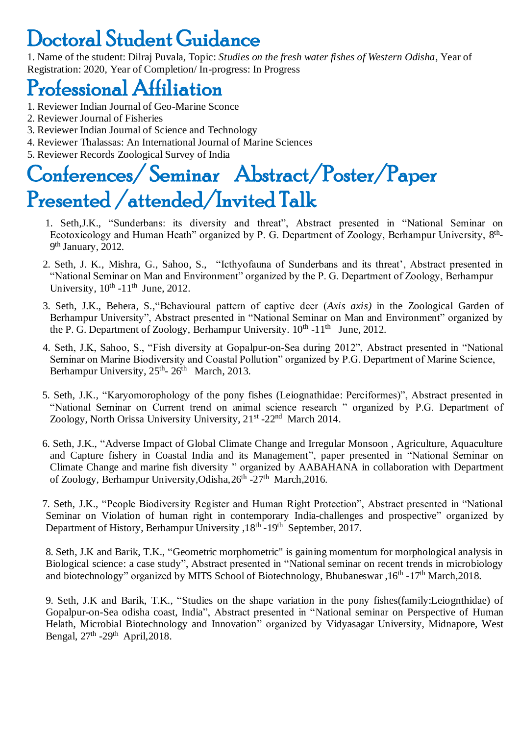## Doctoral Student Guidance

1. Name of the student: Dilraj Puvala, Topic: *Studies on the fresh water fishes of Western Odisha*, Year of Registration: 2020, Year of Completion/ In-progress: In Progress

#### Professional Affiliation

- 1. Reviewer Indian Journal of Geo-Marine Sconce
- 2. Reviewer Journal of Fisheries
- 3. Reviewer Indian Journal of Science and Technology
- 4. Reviewer Thalassas: An International Journal of Marine Sciences
- 5. Reviewer Records Zoological Survey of India

## Conferences/ Seminar Abstract/Poster/Paper Presented /attended/Invited Talk

- 1. Seth,J.K., "Sunderbans: its diversity and threat", Abstract presented in "National Seminar on Ecotoxicology and Human Heath" organized by P. G. Department of Zoology, Berhampur University, 8<sup>th</sup>-9<sup>th</sup> January, 2012.
- 2. Seth, J. K., Mishra, G., Sahoo, S., "Icthyofauna of Sunderbans and its threat', Abstract presented in "National Seminar on Man and Environment" organized by the P. G. Department of Zoology, Berhampur University,  $10^{th}$  -11<sup>th</sup> June, 2012.
- 3. Seth, J.K., Behera, S.,"Behavioural pattern of captive deer (*Axis axis)* in the Zoological Garden of Berhampur University", Abstract presented in "National Seminar on Man and Environment" organized by the P. G. Department of Zoology, Berhampur University.  $10^{th}$  -11<sup>th</sup> June, 2012.
- 4. Seth, J.K, Sahoo, S., "Fish diversity at Gopalpur-on-Sea during 2012", Abstract presented in "National Seminar on Marine Biodiversity and Coastal Pollution" organized by P.G. Department of Marine Science, Berhampur University, 25<sup>th</sup>- 26<sup>th</sup> March, 2013.
- 5. Seth, J.K., "Karyomorophology of the pony fishes (Leiognathidae: Perciformes)", Abstract presented in "National Seminar on Current trend on animal science research " organized by P.G. Department of Zoology, North Orissa University University, 21<sup>st</sup> -22<sup>nd</sup> March 2014.
- 6. Seth, J.K., "Adverse Impact of Global Climate Change and Irregular Monsoon , Agriculture, Aquaculture and Capture fishery in Coastal India and its Management", paper presented in "National Seminar on Climate Change and marine fish diversity " organized by AABAHANA in collaboration with Department of Zoology, Berhampur University, Odisha, 26<sup>th</sup> -27<sup>th</sup> March, 2016.

7. Seth, J.K., "People Biodiversity Register and Human Right Protection", Abstract presented in "National Seminar on Violation of human right in contemporary India-challenges and prospective" organized by Department of History, Berhampur University , 18<sup>th</sup> - 19<sup>th</sup> September, 2017.

8. Seth, J.K and Barik, T.K., "Geometric morphometric" is gaining momentum for morphological analysis in Biological science: a case study", Abstract presented in "National seminar on recent trends in microbiology and biotechnology" organized by MITS School of Biotechnology, Bhubaneswar, 16<sup>th</sup> -17<sup>th</sup> March, 2018.

9. Seth, J.K and Barik, T.K., "Studies on the shape variation in the pony fishes(family:Leiognthidae) of Gopalpur-on-Sea odisha coast, India", Abstract presented in "National seminar on Perspective of Human Helath, Microbial Biotechnology and Innovation" organized by Vidyasagar University, Midnapore, West Bengal, 27<sup>th</sup> -29<sup>th</sup> April, 2018.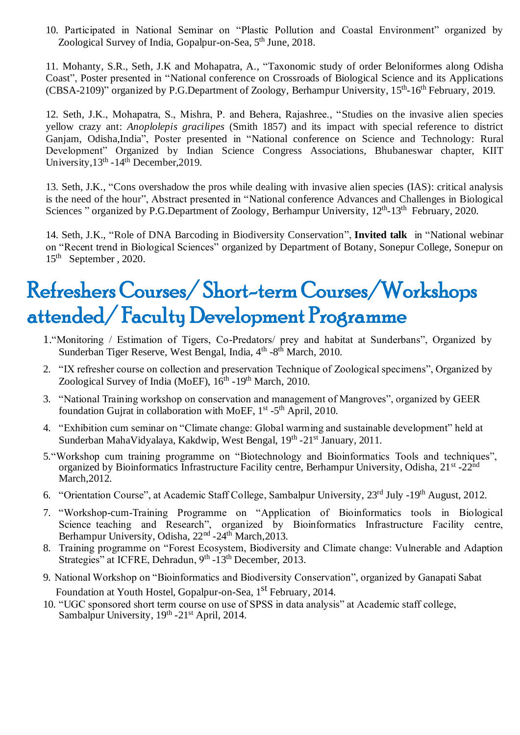10. Participated in National Seminar on "Plastic Pollution and Coastal Environment" organized by Zoological Survey of India, Gopalpur-on-Sea, 5<sup>th</sup> June, 2018.

11. Mohanty, S.R., Seth, J.K and Mohapatra, A., "Taxonomic study of order Beloniformes along Odisha Coast", Poster presented in "National conference on Crossroads of Biological Science and its Applications (CBSA-2109)" organized by P.G.Department of Zoology, Berhampur University, 15<sup>th</sup>-16<sup>th</sup> February, 2019.

12. Seth, J.K., Mohapatra, S., Mishra, P. and Behera, Rajashree., "Studies on the invasive alien species yellow crazy ant: *Anoplolepis gracilipes* (Smith 1857) and its impact with special reference to district Ganjam, Odisha,India", Poster presented in "National conference on Science and Technology: Rural Development" Organized by Indian Science Congress Associations, Bhubaneswar chapter, KIIT University, 13<sup>th</sup> - 14<sup>th</sup> December, 2019.

13. Seth, J.K., "Cons overshadow the pros while dealing with invasive alien species (IAS): critical analysis is the need of the hour", Abstract presented in "National conference Advances and Challenges in Biological Sciences " organized by P.G.Department of Zoology, Berhampur University, 12<sup>th</sup>-13<sup>th</sup> February, 2020.

14. Seth, J.K., "Role of DNA Barcoding in Biodiversity Conservation", **Invited talk** in "National webinar on "Recent trend in Biological Sciences" organized by Department of Botany, Sonepur College, Sonepur on 15th September , 2020.

## Refreshers Courses/ Short-term Courses/Workshops attended/ Faculty Development Programme

- 1."Monitoring / Estimation of Tigers, Co-Predators/ prey and habitat at Sunderbans", Organized by Sunderban Tiger Reserve, West Bengal, India, 4<sup>th</sup> -8<sup>th</sup> March, 2010.
- 2. "IX refresher course on collection and preservation Technique of Zoological specimens", Organized by Zoological Survey of India (MoEF), 16<sup>th</sup> -19<sup>th</sup> March, 2010.
- 3. "National Training workshop on conservation and management of Mangroves", organized by GEER foundation Gujrat in collaboration with MoEF, 1<sup>st</sup> -5<sup>th</sup> April, 2010.
- 4. "Exhibition cum seminar on "Climate change: Global warming and sustainable development" held at Sunderban MahaVidyalaya, Kakdwip, West Bengal, 19<sup>th</sup> -21<sup>st</sup> January, 2011.
- 5."Workshop cum training programme on "Biotechnology and Bioinformatics Tools and techniques", organized by Bioinformatics Infrastructure Facility centre, Berhampur University, Odisha, 21<sup>st</sup> -22<sup>nd</sup> March,2012.
- 6. "Orientation Course", at Academic Staff College, Sambalpur University, 23rd July -19th August, 2012.
- 7. "Workshop-cum-Training Programme on "Application of Bioinformatics tools in Biological Science teaching and Research", organized by Bioinformatics Infrastructure Facility centre, Berhampur University, Odisha, 22<sup>nd</sup> -24<sup>th</sup> March, 2013.
- 8. Training programme on "Forest Ecosystem, Biodiversity and Climate change: Vulnerable and Adaption Strategies" at ICFRE, Dehradun, 9<sup>th</sup> -13<sup>th</sup> December, 2013.
- 9. National Workshop on "Bioinformatics and Biodiversity Conservation", organized by Ganapati Sabat Foundation at Youth Hostel, Gopalpur-on-Sea, 1<sup>st</sup> February, 2014.
- 10. "UGC sponsored short term course on use of SPSS in data analysis" at Academic staff college, Sambalpur University, 19<sup>th</sup> -21<sup>st</sup> April, 2014.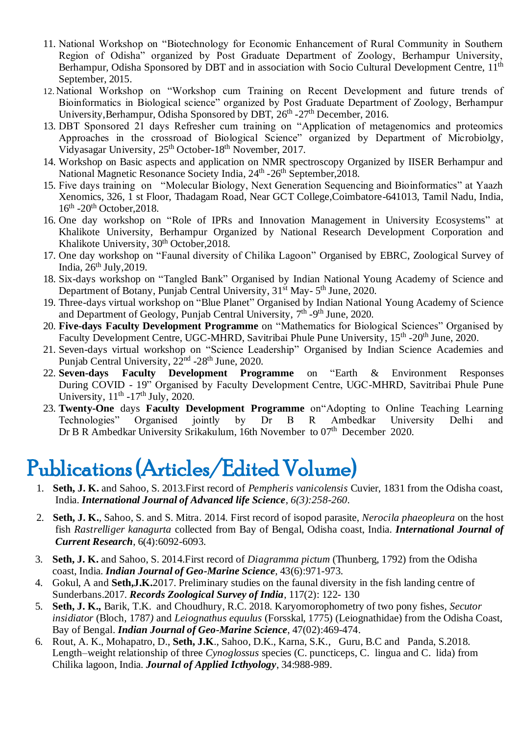- 11. National Workshop on "Biotechnology for Economic Enhancement of Rural Community in Southern Region of Odisha" organized by Post Graduate Department of Zoology, Berhampur University, Berhampur, Odisha Sponsored by DBT and in association with Socio Cultural Development Centre, 11<sup>th</sup> September, 2015.
- 12. National Workshop on "Workshop cum Training on Recent Development and future trends of Bioinformatics in Biological science" organized by Post Graduate Department of Zoology, Berhampur University, Berhampur, Odisha Sponsored by DBT, 26<sup>th</sup> -27<sup>th</sup> December, 2016.
- 13. DBT Sponsored 21 days Refresher cum training on "Application of metagenomics and proteomics Approaches in the crossroad of Biological Science" organized by Department of Microbiolgy, Vidyasagar University, 25<sup>th</sup> October-18<sup>th</sup> November, 2017.
- 14. Workshop on Basic aspects and application on NMR spectroscopy Organized by IISER Berhampur and National Magnetic Resonance Society India, 24<sup>th</sup> -26<sup>th</sup> September, 2018.
- 15. Five days training on "Molecular Biology, Next Generation Sequencing and Bioinformatics" at Yaazh Xenomics, 326, 1 st Floor, Thadagam Road, Near GCT College,Coimbatore-641013, Tamil Nadu, India, 16<sup>th</sup> -20<sup>th</sup> October, 2018.
- 16. One day workshop on "Role of IPRs and Innovation Management in University Ecosystems" at Khalikote University, Berhampur Organized by National Research Development Corporation and Khalikote University,  $30<sup>th</sup>$  October, 2018.
- 17. One day workshop on "Faunal diversity of Chilika Lagoon" Organised by EBRC, Zoological Survey of India,  $26<sup>th</sup>$  July,  $2019$ .
- 18. Six-days workshop on "Tangled Bank" Organised by Indian National Young Academy of Science and Department of Botany, Punjab Central University, 31<sup>st</sup> May-5<sup>th</sup> June, 2020.
- 19. Three-days virtual workshop on "Blue Planet" Organised by Indian National Young Academy of Science and Department of Geology, Punjab Central University, 7<sup>th</sup> -9<sup>th</sup> June, 2020.
- 20. **Five-days Faculty Development Programme** on "Mathematics for Biological Sciences" Organised by Faculty Development Centre, UGC-MHRD, Savitribai Phule Pune University, 15<sup>th</sup> -20<sup>th</sup> June, 2020.
- 21. Seven-days virtual workshop on "Science Leadership" Organised by Indian Science Academies and Punjab Central University, 22<sup>nd</sup> -28<sup>th</sup> June, 2020.
- 22. **Seven-days Faculty Development Programme** on "Earth & Environment Responses During COVID - 19" Organised by Faculty Development Centre, UGC-MHRD, Savitribai Phule Pune University,  $11<sup>th</sup> - 17<sup>th</sup>$  July, 2020.
- 23. **Twenty-One** days **Faculty Development Programme** on"Adopting to Online Teaching Learning Technologies" Organised jointly by Dr B R Ambedkar University Delhi and Dr B R Ambedkar University Srikakulum, 16th November to 07<sup>th</sup> December 2020.

## Publications (Articles/Edited Volume)

- 1. **Seth, J. K.** and Sahoo, S. 2013.First record of *Pempheris vanicolensis* Cuvier, 1831 from the Odisha coast, India. *International Journal of Advanced life Science*, *6(3):258-260*.
- 2. **Seth, J. K.**, Sahoo, S. and S. Mitra. 2014. First record of isopod parasite, *Nerocila phaeopleura* on the host fish *Rastrelliger kanagurta* collected from Bay of Bengal, Odisha coast, India. *International Journal of Current Research*, 6(4):6092-6093.
- 3. **Seth, J. K.** and Sahoo, S. 2014.First record of *Diagramma pictum* (Thunberg, 1792) from the Odisha coast, India. *Indian Journal of Geo-Marine Science*, 43(6):971-973.
- 4. Gokul, A and **Seth,J.K.**2017. Preliminary studies on the faunal diversity in the fish landing centre of Sunderbans.2017. *Records Zoological Survey of India*, 117(2): 122- 130
- 5. **Seth, J. K.,** Barik, T.K.and Choudhury, R.C. 2018. Karyomorophometry of two pony fishes, *Secutor insidiator* (Bloch, 1787*)* and *Leiognathus equulus* (Forsskal, 1775) (Leiognathidae) from the Odisha Coast, Bay of Bengal. *Indian Journal of Geo-Marine Science*, 47(02):469-474.
- 6. Rout, A. K., Mohapatro, D., **Seth, J.K**., Sahoo, D.K., Karna, S.K., Guru, B.C and Panda, S.2018. Length–weight relationship of three *Cynoglossus* species (C. puncticeps, C. lingua and C. lida) from Chilika lagoon, India. *Journal of Applied Icthyology*, 34:988-989.